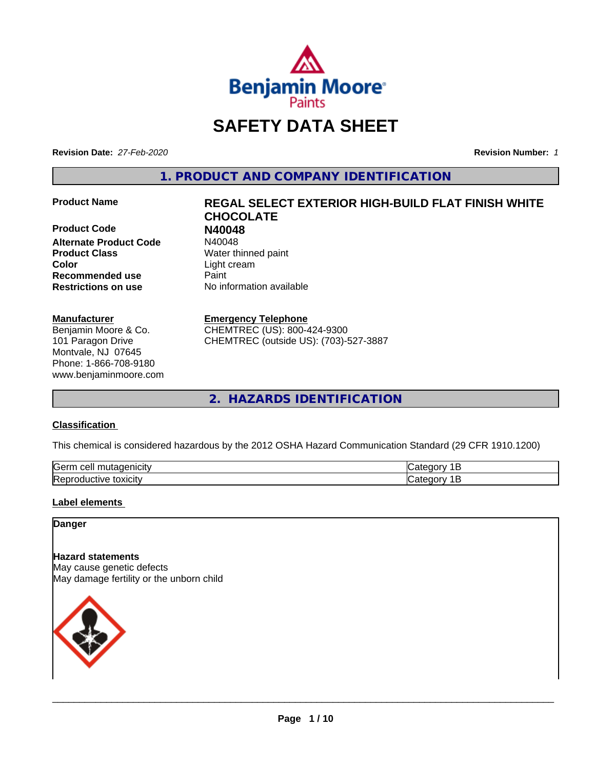

## **SAFETY DATA SHEET**

**Revision Date:** *27-Feb-2020* **Revision Number:** *1*

**1. PRODUCT AND COMPANY IDENTIFICATION**

**Product Code 1988**<br> **Alternate Product Code** 1940048 **Alternate Product Code Product Class** Water thinned paint **Color** Light cream **Recommended use Caint Restrictions on use** No information available

#### **Manufacturer**

Benjamin Moore & Co. 101 Paragon Drive Montvale, NJ 07645 Phone: 1-866-708-9180 www.benjaminmoore.com

# **Product Name REGAL SELECT EXTERIOR HIGH-BUILD FLAT FINISH WHITE CHOCOLATE**

#### **Emergency Telephone**

CHEMTREC (US): 800-424-9300 CHEMTREC (outside US): (703)-527-3887

**2. HAZARDS IDENTIFICATION**

#### **Classification**

This chemical is considered hazardous by the 2012 OSHA Hazard Communication Standard (29 CFR 1910.1200)

| <b>Gern</b><br>---<br>----<br>`16<br>ш<br>$\sqrt{2}$ | - - - |
|------------------------------------------------------|-------|
| Rep<br>*OXICIty<br>:TIVE<br>זור                      |       |

#### **Label elements**

#### **Danger**

**Hazard statements** May cause genetic defects May damage fertility or the unborn child

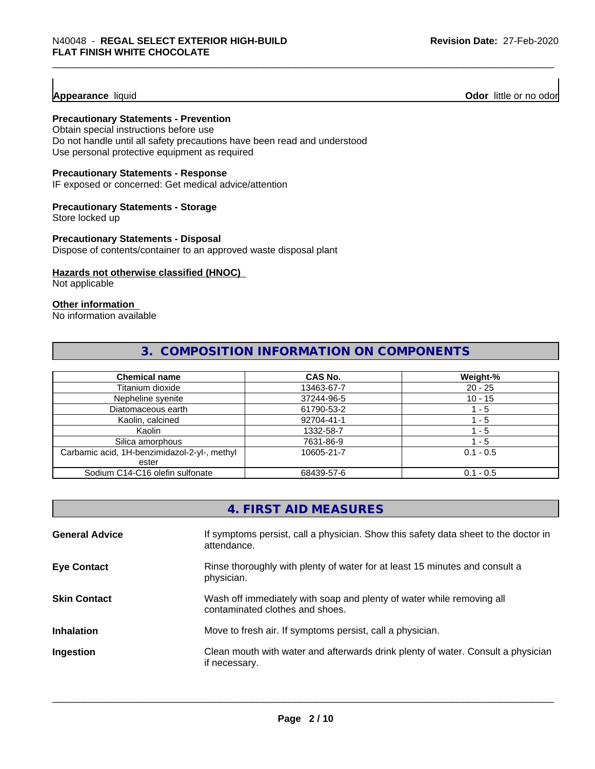**Appearance** liquid **Odor 11** Odor little or no odor

#### **Precautionary Statements - Prevention**

Obtain special instructions before use Do not handle until all safety precautions have been read and understood Use personal protective equipment as required

#### **Precautionary Statements - Response**

IF exposed or concerned: Get medical advice/attention

#### **Precautionary Statements - Storage**

Store locked up

#### **Precautionary Statements - Disposal**

Dispose of contents/container to an approved waste disposal plant

#### **Hazards not otherwise classified (HNOC)**

Not applicable

#### **Other information**

No information available

### **3. COMPOSITION INFORMATION ON COMPONENTS**

| <b>Chemical name</b>                         | <b>CAS No.</b> | Weight-%    |
|----------------------------------------------|----------------|-------------|
| Titanium dioxide                             | 13463-67-7     | $20 - 25$   |
| Nepheline syenite                            | 37244-96-5     | $10 - 15$   |
| Diatomaceous earth                           | 61790-53-2     | ' - 5       |
| Kaolin, calcined                             | 92704-41-1     | - 5         |
| Kaolin                                       | 1332-58-7      | 1 - 5       |
| Silica amorphous                             | 7631-86-9      | $-5$        |
| Carbamic acid, 1H-benzimidazol-2-yl-, methyl | 10605-21-7     | $0.1 - 0.5$ |
| ester                                        |                |             |
| Sodium C14-C16 olefin sulfonate              | 68439-57-6     | $0.1 - 0.5$ |

|                       | 4. FIRST AID MEASURES                                                                                    |
|-----------------------|----------------------------------------------------------------------------------------------------------|
| <b>General Advice</b> | If symptoms persist, call a physician. Show this safety data sheet to the doctor in<br>attendance.       |
| <b>Eye Contact</b>    | Rinse thoroughly with plenty of water for at least 15 minutes and consult a<br>physician.                |
| <b>Skin Contact</b>   | Wash off immediately with soap and plenty of water while removing all<br>contaminated clothes and shoes. |
| <b>Inhalation</b>     | Move to fresh air. If symptoms persist, call a physician.                                                |
| Ingestion             | Clean mouth with water and afterwards drink plenty of water. Consult a physician<br>if necessary.        |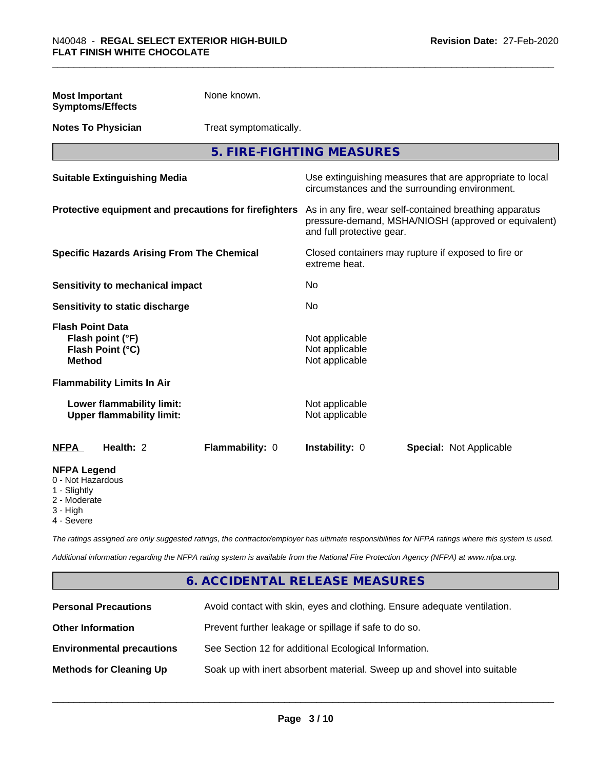| <b>Most Important</b><br><b>Symptoms/Effects</b>                                                  | None known.            |                                                                                                                                              |                                                                                                            |
|---------------------------------------------------------------------------------------------------|------------------------|----------------------------------------------------------------------------------------------------------------------------------------------|------------------------------------------------------------------------------------------------------------|
| <b>Notes To Physician</b>                                                                         | Treat symptomatically. |                                                                                                                                              |                                                                                                            |
|                                                                                                   |                        | 5. FIRE-FIGHTING MEASURES                                                                                                                    |                                                                                                            |
| <b>Suitable Extinguishing Media</b>                                                               |                        |                                                                                                                                              | Use extinguishing measures that are appropriate to local<br>circumstances and the surrounding environment. |
| Protective equipment and precautions for firefighters                                             |                        | As in any fire, wear self-contained breathing apparatus<br>pressure-demand, MSHA/NIOSH (approved or equivalent)<br>and full protective gear. |                                                                                                            |
| <b>Specific Hazards Arising From The Chemical</b>                                                 |                        | Closed containers may rupture if exposed to fire or<br>extreme heat.                                                                         |                                                                                                            |
| <b>Sensitivity to mechanical impact</b>                                                           |                        | <b>No</b>                                                                                                                                    |                                                                                                            |
| Sensitivity to static discharge                                                                   |                        | No                                                                                                                                           |                                                                                                            |
| <b>Flash Point Data</b><br>Flash point (°F)<br>Flash Point (°C)<br><b>Method</b>                  |                        | Not applicable<br>Not applicable<br>Not applicable                                                                                           |                                                                                                            |
| <b>Flammability Limits In Air</b>                                                                 |                        |                                                                                                                                              |                                                                                                            |
| Lower flammability limit:<br><b>Upper flammability limit:</b>                                     |                        | Not applicable<br>Not applicable                                                                                                             |                                                                                                            |
| <b>NFPA</b><br>Health: 2                                                                          | Flammability: 0        | Instability: 0                                                                                                                               | <b>Special: Not Applicable</b>                                                                             |
| <b>NFPA Legend</b><br>0 - Not Hazardous<br>1 - Slightly<br>2 - Moderate<br>3 - High<br>4 - Severe |                        |                                                                                                                                              |                                                                                                            |

*The ratings assigned are only suggested ratings, the contractor/employer has ultimate responsibilities for NFPA ratings where this system is used.*

*Additional information regarding the NFPA rating system is available from the National Fire Protection Agency (NFPA) at www.nfpa.org.*

### **6. ACCIDENTAL RELEASE MEASURES**

| <b>Personal Precautions</b>      | Avoid contact with skin, eyes and clothing. Ensure adequate ventilation. |
|----------------------------------|--------------------------------------------------------------------------|
| <b>Other Information</b>         | Prevent further leakage or spillage if safe to do so.                    |
| <b>Environmental precautions</b> | See Section 12 for additional Ecological Information.                    |
| <b>Methods for Cleaning Up</b>   | Soak up with inert absorbent material. Sweep up and shovel into suitable |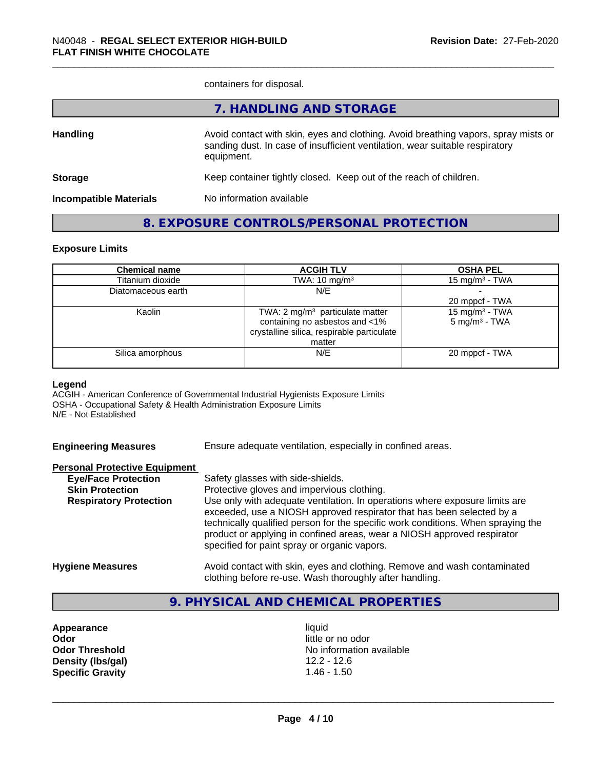containers for disposal.

|                               | 7. HANDLING AND STORAGE                                                                                                                                                          |
|-------------------------------|----------------------------------------------------------------------------------------------------------------------------------------------------------------------------------|
| <b>Handling</b>               | Avoid contact with skin, eyes and clothing. Avoid breathing vapors, spray mists or<br>sanding dust. In case of insufficient ventilation, wear suitable respiratory<br>equipment. |
| <b>Storage</b>                | Keep container tightly closed. Keep out of the reach of children.                                                                                                                |
| <b>Incompatible Materials</b> | No information available                                                                                                                                                         |
|                               |                                                                                                                                                                                  |

### **8. EXPOSURE CONTROLS/PERSONAL PROTECTION**

#### **Exposure Limits**

| <b>Chemical name</b> | <b>ACGIH TLV</b>                           | <b>OSHA PEL</b>            |
|----------------------|--------------------------------------------|----------------------------|
| Titanium dioxide     | TWA: $10 \text{ mg/m}^3$                   | 15 mg/m $3$ - TWA          |
| Diatomaceous earth   | N/E                                        |                            |
|                      |                                            | 20 mppcf - TWA             |
| Kaolin               | TWA: 2 $mg/m3$ particulate matter          | 15 mg/m <sup>3</sup> - TWA |
|                      | containing no asbestos and <1%             | $5 \text{ mg/m}^3$ - TWA   |
|                      | crystalline silica, respirable particulate |                            |
|                      | matter                                     |                            |
| Silica amorphous     | N/E                                        | 20 mppcf - TWA             |
|                      |                                            |                            |

#### **Legend**

ACGIH - American Conference of Governmental Industrial Hygienists Exposure Limits OSHA - Occupational Safety & Health Administration Exposure Limits N/E - Not Established

| <b>Engineering Measures</b> | Ensure adequate ventilation, especially in confined areas. |  |  |  |
|-----------------------------|------------------------------------------------------------|--|--|--|
|                             |                                                            |  |  |  |

| <b>Personal Protective Equipment</b> |                            |
|--------------------------------------|----------------------------|
| EuelEase Dratestian                  | $Cof$ <sub>atu</sub> alooo |

| <b>Eye/Face Protection</b>    | Safety glasses with side-shields.                                                                                                                                                                           |
|-------------------------------|-------------------------------------------------------------------------------------------------------------------------------------------------------------------------------------------------------------|
| <b>Skin Protection</b>        | Protective gloves and impervious clothing.                                                                                                                                                                  |
| <b>Respiratory Protection</b> | Use only with adequate ventilation. In operations where exposure limits are                                                                                                                                 |
|                               | exceeded, use a NIOSH approved respirator that has been selected by a                                                                                                                                       |
|                               | technically qualified person for the specific work conditions. When spraying the<br>product or applying in confined areas, wear a NIOSH approved respirator<br>specified for paint spray or organic vapors. |
| <b>Hygiene Measures</b>       | Avoid contact with skin, eyes and clothing. Remove and wash contaminated                                                                                                                                    |
|                               | clothing before re-use. Wash thoroughly after handling.                                                                                                                                                     |

# **9. PHYSICAL AND CHEMICAL PROPERTIES**

**Appearance** liquid **Odor** little or no odor **Density (lbs/gal)** 12.2 - 12.6<br>**Specific Gravity** 1.46 - 1.50 **Specific Gravity** 

**Odor Threshold** No information available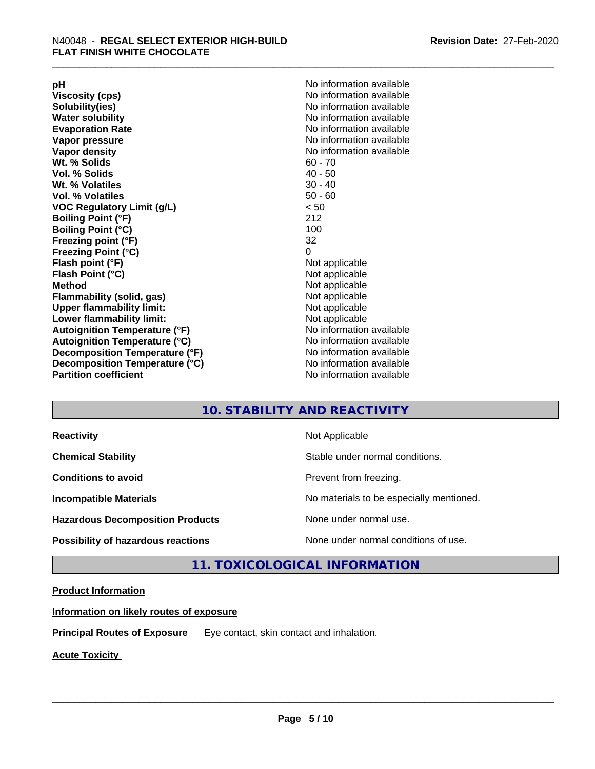**Viscosity (cps)** <br> **Viscosity (cps)** No information available<br>
No information available<br>
No information available **Water solubility Water solubility Water solubility Water solubility Water solubility Water solution Evaporation Rate No information available No information available Vapor pressure** No information available **Vapor density No information available No information available Wt. % Solids** 60 - 70<br> **Vol. % Solids** 60 - 70<br> **Vol. % Solids** 40 - 50 **Vol. % Solids Wt.** % Volatiles 30 - 40 **Vol. % Volatiles** 50 - 60 **VOC Regulatory Limit (g/L)** < 50 **Boiling Point (°F)** 212 **Boiling Point (°C) Freezing point (°F)** 32 **Freezing Point (°C)** 0 **Flash point (°F)** Not applicable **Flash Point (°C)** Not applicable **Method**<br> **Flammability (solid, gas)**<br> **Example 2018** Not applicable **Flammability** (solid, gas) **Upper flammability limit:** Not applicable **Lower flammability limit:** Not applicable **Autoignition Temperature (°F)** No information available **Autoignition Temperature (°C)** No information available **Decomposition Temperature (°F)** No information available **Decomposition Temperature (°C)** No information available **Partition coefficient** No information available

**pH**<br>
Viscosity (cps) The Contract Contract Contract Contract Contract Contract Contract Contract Contract Contract Co<br>
No information available **Solubility(ies)** No information available

#### **10. STABILITY AND REACTIVITY**

| <b>Reactivity</b>                         | Not Applicable                           |
|-------------------------------------------|------------------------------------------|
| <b>Chemical Stability</b>                 | Stable under normal conditions.          |
| <b>Conditions to avoid</b>                | Prevent from freezing.                   |
| <b>Incompatible Materials</b>             | No materials to be especially mentioned. |
| <b>Hazardous Decomposition Products</b>   | None under normal use.                   |
| <b>Possibility of hazardous reactions</b> | None under normal conditions of use.     |

### **11. TOXICOLOGICAL INFORMATION**

#### **Product Information**

**Information on likely routes of exposure**

**Principal Routes of Exposure** Eye contact, skin contact and inhalation.

**Acute Toxicity**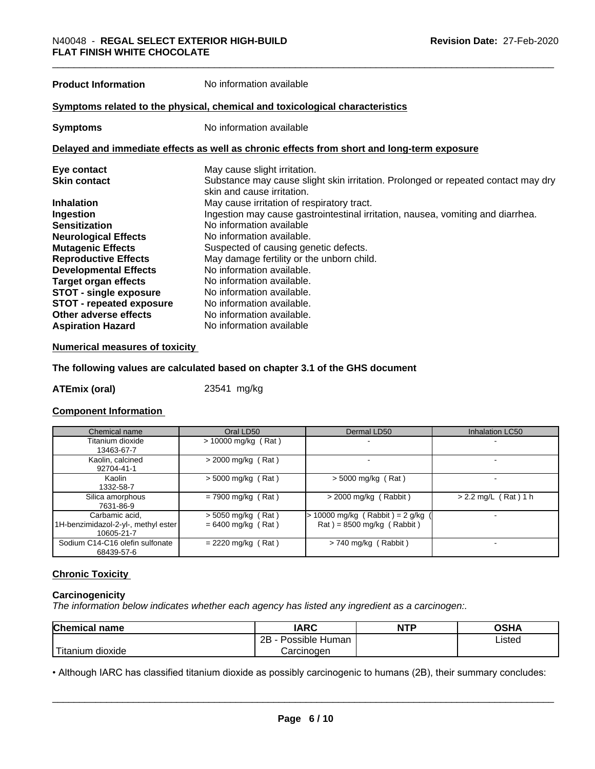**Product Information** No information available

#### **Symptoms related to the physical,chemical and toxicological characteristics**

**Symptoms** No information available

#### **Delayed and immediate effects as well as chronic effects from short and long-term exposure**

| Eye contact                     | May cause slight irritation.                                                      |
|---------------------------------|-----------------------------------------------------------------------------------|
| <b>Skin contact</b>             | Substance may cause slight skin irritation. Prolonged or repeated contact may dry |
|                                 | skin and cause irritation.                                                        |
| <b>Inhalation</b>               | May cause irritation of respiratory tract.                                        |
| Ingestion                       | Ingestion may cause gastrointestinal irritation, nausea, vomiting and diarrhea.   |
| <b>Sensitization</b>            | No information available                                                          |
| <b>Neurological Effects</b>     | No information available.                                                         |
| <b>Mutagenic Effects</b>        | Suspected of causing genetic defects.                                             |
| <b>Reproductive Effects</b>     | May damage fertility or the unborn child.                                         |
| <b>Developmental Effects</b>    | No information available.                                                         |
| Target organ effects            | No information available.                                                         |
| <b>STOT - single exposure</b>   | No information available.                                                         |
| <b>STOT - repeated exposure</b> | No information available.                                                         |
| Other adverse effects           | No information available.                                                         |
| <b>Aspiration Hazard</b>        | No information available                                                          |

#### **Numerical measures of toxicity**

#### **The following values are calculated based on chapter 3.1 of the GHS document**

**ATEmix (oral)** 23541 mg/kg

#### **Component Information**

| Chemical name                                                       | Oral LD50                                    | Dermal LD50                                                                        | <b>Inhalation LC50</b> |
|---------------------------------------------------------------------|----------------------------------------------|------------------------------------------------------------------------------------|------------------------|
| Titanium dioxide<br>13463-67-7                                      | $> 10000$ mg/kg (Rat)                        |                                                                                    |                        |
| Kaolin, calcined<br>92704-41-1                                      | $>$ 2000 mg/kg (Rat)                         |                                                                                    |                        |
| Kaolin<br>1332-58-7                                                 | $>$ 5000 mg/kg (Rat)                         | $>$ 5000 mg/kg (Rat)                                                               |                        |
| Silica amorphous<br>7631-86-9                                       | $= 7900$ mg/kg (Rat)                         | $>$ 2000 mg/kg (Rabbit)                                                            | $> 2.2$ mg/L (Rat) 1 h |
| Carbamic acid,<br>1H-benzimidazol-2-yl-, methyl ester<br>10605-21-7 | $>$ 5050 mg/kg (Rat)<br>$= 6400$ mg/kg (Rat) | 10000 mg/kg (Rabbit) = $2$ g/kg<br>$\text{Rat}$ ) = 8500 mg/kg ( $\text{Rabbit}$ ) |                        |
| Sodium C14-C16 olefin sulfonate<br>68439-57-6                       | $= 2220$ mg/kg (Rat)                         | $> 740$ mg/kg (Rabbit)                                                             |                        |

#### **Chronic Toxicity**

#### **Carcinogenicity**

*The information below indicateswhether each agency has listed any ingredient as a carcinogen:.*

| Chemical<br>∣ name     | <b>IARC</b>              | <b>NTP</b> | OSHA        |
|------------------------|--------------------------|------------|-------------|
|                        | 2B<br>Possible<br>⊢Human |            | ∟isted<br>. |
| n dioxide<br>l itanıum | Carcinogen               |            |             |

• Although IARC has classified titanium dioxide as possibly carcinogenic to humans (2B), their summary concludes:<br> **Page 6/10**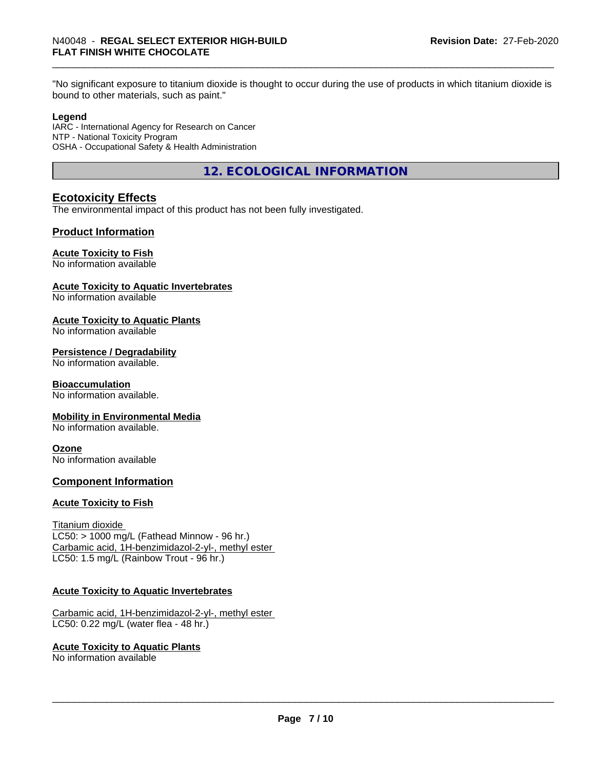"No significant exposure to titanium dioxide is thought to occur during the use of products in which titanium dioxide is bound to other materials, such as paint."

#### **Legend**

IARC - International Agency for Research on Cancer NTP - National Toxicity Program OSHA - Occupational Safety & Health Administration

**12. ECOLOGICAL INFORMATION**

#### **Ecotoxicity Effects**

The environmental impact of this product has not been fully investigated.

#### **Product Information**

#### **Acute Toxicity to Fish**

No information available

#### **Acute Toxicity to Aquatic Invertebrates**

No information available

#### **Acute Toxicity to Aquatic Plants**

No information available

#### **Persistence / Degradability**

No information available.

#### **Bioaccumulation**

No information available.

#### **Mobility in Environmental Media**

No information available.

#### **Ozone**

No information available

#### **Component Information**

#### **Acute Toxicity to Fish**

Titanium dioxide  $LC50:$  > 1000 mg/L (Fathead Minnow - 96 hr.) Carbamic acid, 1H-benzimidazol-2-yl-, methyl ester LC50: 1.5 mg/L (Rainbow Trout - 96 hr.)

#### **Acute Toxicity to Aquatic Invertebrates**

Carbamic acid, 1H-benzimidazol-2-yl-, methyl ester LC50: 0.22 mg/L (water flea - 48 hr.)

#### **Acute Toxicity to Aquatic Plants**

No information available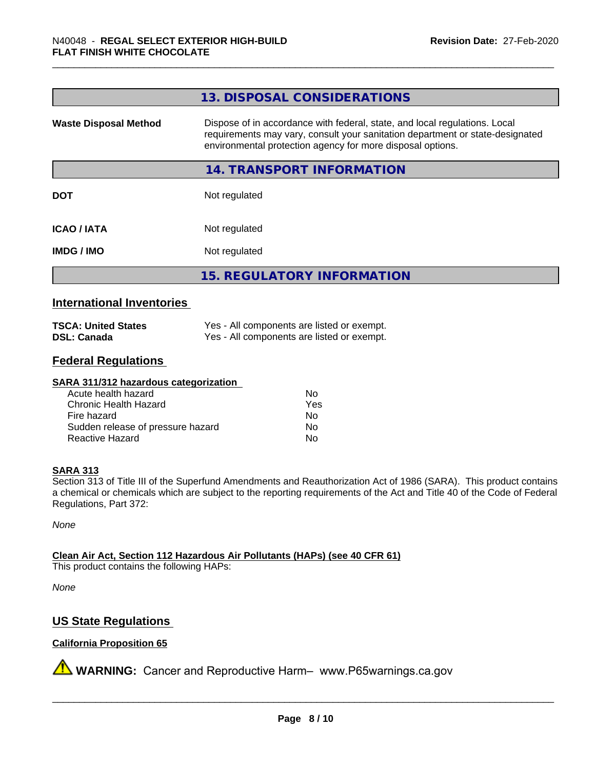|                              | 13. DISPOSAL CONSIDERATIONS                                                                                                                                                                                               |
|------------------------------|---------------------------------------------------------------------------------------------------------------------------------------------------------------------------------------------------------------------------|
| <b>Waste Disposal Method</b> | Dispose of in accordance with federal, state, and local regulations. Local<br>requirements may vary, consult your sanitation department or state-designated<br>environmental protection agency for more disposal options. |
|                              | 14. TRANSPORT INFORMATION                                                                                                                                                                                                 |
| <b>DOT</b>                   | Not regulated                                                                                                                                                                                                             |
| <b>ICAO/IATA</b>             | Not regulated                                                                                                                                                                                                             |
| <b>IMDG / IMO</b>            | Not regulated                                                                                                                                                                                                             |
|                              | <b>15. REGULATORY INFORMATION</b>                                                                                                                                                                                         |
|                              |                                                                                                                                                                                                                           |

#### **International Inventories**

| <b>TSCA: United States</b> | Yes - All components are listed or exempt. |
|----------------------------|--------------------------------------------|
| <b>DSL: Canada</b>         | Yes - All components are listed or exempt. |

#### **Federal Regulations**

#### **SARA 311/312 hazardous categorization**

| Acute health hazard               | Nο  |
|-----------------------------------|-----|
| Chronic Health Hazard             | Yes |
| Fire hazard                       | Nο  |
| Sudden release of pressure hazard | N٥  |
| Reactive Hazard                   | N٥  |

#### **SARA 313**

Section 313 of Title III of the Superfund Amendments and Reauthorization Act of 1986 (SARA). This product contains a chemical or chemicals which are subject to the reporting requirements of the Act and Title 40 of the Code of Federal Regulations, Part 372:

*None*

**Clean Air Act,Section 112 Hazardous Air Pollutants (HAPs) (see 40 CFR 61)**

This product contains the following HAPs:

*None*

#### **US State Regulations**

#### **California Proposition 65**

**A** WARNING: Cancer and Reproductive Harm– www.P65warnings.ca.gov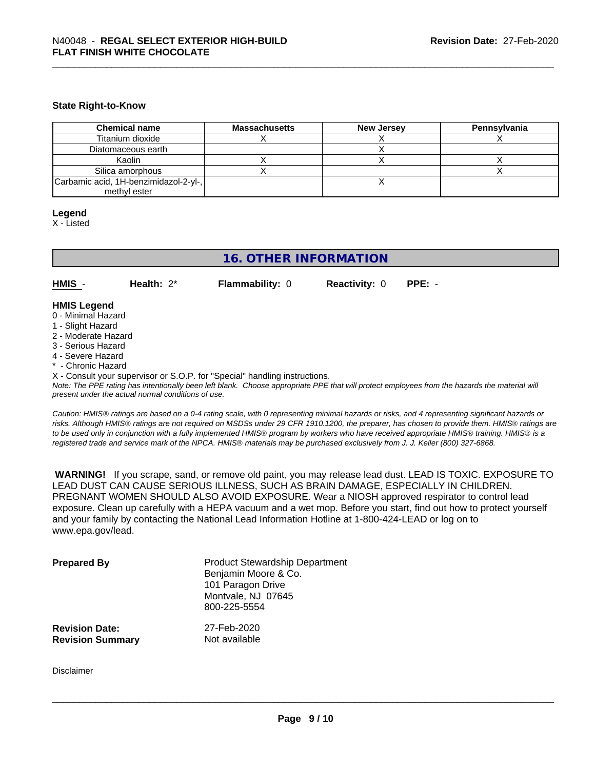#### **State Right-to-Know**

| <b>Chemical name</b>                  | <b>Massachusetts</b> | <b>New Jersey</b> | Pennsvlvania |
|---------------------------------------|----------------------|-------------------|--------------|
| Titanium dioxide                      |                      |                   |              |
| Diatomaceous earth                    |                      |                   |              |
| Kaolin                                |                      |                   |              |
| Silica amorphous                      |                      |                   |              |
| Carbamic acid, 1H-benzimidazol-2-yl-, |                      |                   |              |
| methyl ester                          |                      |                   |              |

#### **Legend**

X - Listed

### **16. OTHER INFORMATION**

**HMIS** - **Health:** 2\* **Flammability:** 0 **Reactivity:** 0 **PPE:** -

#### **HMIS Legend**

- 0 Minimal Hazard
- 1 Slight Hazard
- 2 Moderate Hazard
- 3 Serious Hazard
- 4 Severe Hazard
- \* Chronic Hazard
- X Consult your supervisor or S.O.P. for "Special" handling instructions.

*Note: The PPE rating has intentionally been left blank. Choose appropriate PPE that will protect employees from the hazards the material will present under the actual normal conditions of use.*

*Caution: HMISÒ ratings are based on a 0-4 rating scale, with 0 representing minimal hazards or risks, and 4 representing significant hazards or risks. Although HMISÒ ratings are not required on MSDSs under 29 CFR 1910.1200, the preparer, has chosen to provide them. HMISÒ ratings are to be used only in conjunction with a fully implemented HMISÒ program by workers who have received appropriate HMISÒ training. HMISÒ is a registered trade and service mark of the NPCA. HMISÒ materials may be purchased exclusively from J. J. Keller (800) 327-6868.*

 **WARNING!** If you scrape, sand, or remove old paint, you may release lead dust. LEAD IS TOXIC. EXPOSURE TO LEAD DUST CAN CAUSE SERIOUS ILLNESS, SUCH AS BRAIN DAMAGE, ESPECIALLY IN CHILDREN. PREGNANT WOMEN SHOULD ALSO AVOID EXPOSURE.Wear a NIOSH approved respirator to control lead exposure. Clean up carefully with a HEPA vacuum and a wet mop. Before you start, find out how to protect yourself and your family by contacting the National Lead Information Hotline at 1-800-424-LEAD or log on to www.epa.gov/lead.

| <b>Prepared By</b>      | <b>Product Stewardship Department</b><br>Benjamin Moore & Co.<br>101 Paragon Drive<br>Montvale, NJ 07645<br>800-225-5554 |
|-------------------------|--------------------------------------------------------------------------------------------------------------------------|
| <b>Revision Date:</b>   | 27-Feb-2020                                                                                                              |
| <b>Revision Summary</b> | Not available                                                                                                            |

Disclaimer